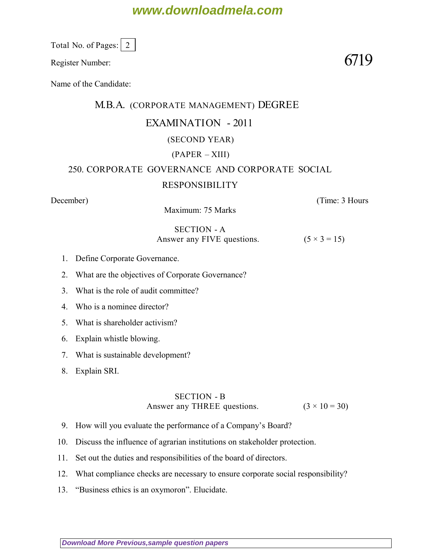# **www.downloadmela.com**

Total No. of Pages:  $\vert 2 \vert$ 

Register Number:  $6719$ 

Name of the Candidate:

## M.B.A. (CORPORATE MANAGEMENT) DEGREE EXAMINATION - 2011

### (SECOND YEAR)

### (PAPER – XIII)

# 250. CORPORATE GOVERNANCE AND CORPORATE SOCIAL

### RESPONSIBILITY

*December*) (*Time: 3 Hours*

Maximum: 75 Marks

### SECTION - A Answer any FIVE questions.  $(5 \times 3 = 15)$

- 1. Define Corporate Governance.
- 2. What are the objectives of Corporate Governance?
- 3. What is the role of audit committee?
- 4. Who is a nominee director?
- 5. What is shareholder activism?
- 6. Explain whistle blowing.
- 7. What is sustainable development?
- 8. Explain SRI.

#### SECTION - B Answer any THREE questions.  $(3 \times 10 = 30)$

- 9. How will you evaluate the performance of a Company's Board?
- 10. Discuss the influence of agrarian institutions on stakeholder protection.
- 11. Set out the duties and responsibilities of the board of directors.
- 12. What compliance checks are necessary to ensure corporate social responsibility?
- 13. "Business ethics is an oxymoron". Elucidate.

**[Download More Previous,sample question papers](http://downloadmela.com/pages/previouspapers/previouspapers.html)**